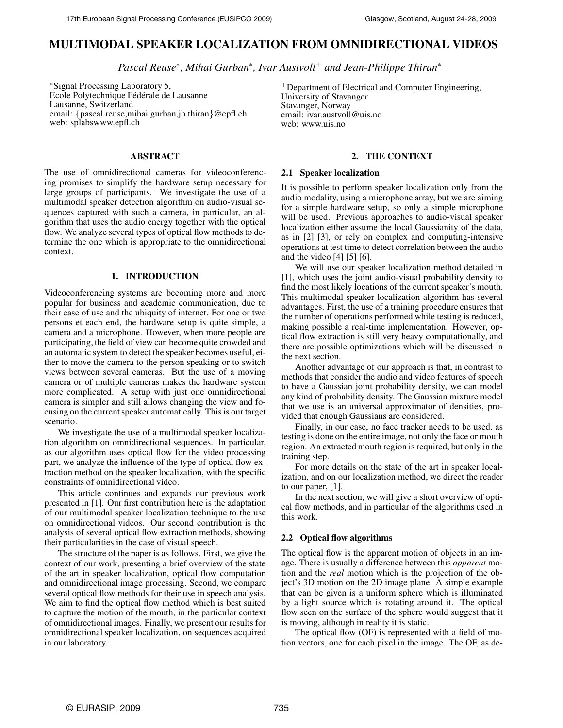# **MULTIMODAL SPEAKER LOCALIZATION FROM OMNIDIRECTIONAL VIDEOS**

*Pascal Reuse*<sup>∗</sup> *, Mihai Gurban*<sup>∗</sup> *, Ivar Austvoll*<sup>+</sup> *and Jean-Philippe Thiran*<sup>∗</sup>

<sup>∗</sup>Signal Processing Laboratory 5, Ecole Polytechnique Fédérale de Lausanne Lausanne, Switzerland email: {pascal.reuse,mihai.gurban,jp.thiran}@epfl.ch web: splabswww.epfl.ch

## **ABSTRACT**

The use of omnidirectional cameras for videoconferencing promises to simplify the hardware setup necessary for large groups of participants. We investigate the use of a multimodal speaker detection algorithm on audio-visual sequences captured with such a camera, in particular, an algorithm that uses the audio energy together with the optical flow. We analyze several types of optical flow methods to determine the one which is appropriate to the omnidirectional context.

## **1. INTRODUCTION**

Videoconferencing systems are becoming more and more popular for business and academic communication, due to their ease of use and the ubiquity of internet. For one or two persons et each end, the hardware setup is quite simple, a camera and a microphone. However, when more people are participating, the field of view can become quite crowded and an automatic system to detect the speaker becomes useful, either to move the camera to the person speaking or to switch views between several cameras. But the use of a moving camera or of multiple cameras makes the hardware system more complicated. A setup with just one omnidirectional camera is simpler and still allows changing the view and focusing on the current speaker automatically. This is our target scenario.

We investigate the use of a multimodal speaker localization algorithm on omnidirectional sequences. In particular, as our algorithm uses optical flow for the video processing part, we analyze the influence of the type of optical flow extraction method on the speaker localization, with the specific constraints of omnidirectional video.

This article continues and expands our previous work presented in [1]. Our first contribution here is the adaptation of our multimodal speaker localization technique to the use on omnidirectional videos. Our second contribution is the analysis of several optical flow extraction methods, showing their particularities in the case of visual speech.

The structure of the paper is as follows. First, we give the context of our work, presenting a brief overview of the state of the art in speaker localization, optical flow computation and omnidirectional image processing. Second, we compare several optical flow methods for their use in speech analysis. We aim to find the optical flow method which is best suited to capture the motion of the mouth, in the particular context of omnidirectional images. Finally, we present our results for omnidirectional speaker localization, on sequences acquired in our laboratory.

<sup>+</sup>Department of Electrical and Computer Engineering, University of Stavanger Stavanger, Norway email: ivar.austvoll@uis.no web: www.uis.no

# **2. THE CONTEXT**

### **2.1 Speaker localization**

It is possible to perform speaker localization only from the audio modality, using a microphone array, but we are aiming for a simple hardware setup, so only a simple microphone will be used. Previous approaches to audio-visual speaker localization either assume the local Gaussianity of the data, as in [2] [3], or rely on complex and computing-intensive operations at test time to detect correlation between the audio and the video [4] [5] [6].

We will use our speaker localization method detailed in [1], which uses the joint audio-visual probability density to find the most likely locations of the current speaker's mouth. This multimodal speaker localization algorithm has several advantages. First, the use of a training procedure ensures that the number of operations performed while testing is reduced, making possible a real-time implementation. However, optical flow extraction is still very heavy computationally, and there are possible optimizations which will be discussed in the next section.

Another advantage of our approach is that, in contrast to methods that consider the audio and video features of speech to have a Gaussian joint probability density, we can model any kind of probability density. The Gaussian mixture model that we use is an universal approximator of densities, provided that enough Gaussians are considered.

Finally, in our case, no face tracker needs to be used, as testing is done on the entire image, not only the face or mouth region. An extracted mouth region is required, but only in the training step.

For more details on the state of the art in speaker localization, and on our localization method, we direct the reader to our paper, [1].

In the next section, we will give a short overview of optical flow methods, and in particular of the algorithms used in this work.

# **2.2 Optical flow algorithms**

The optical flow is the apparent motion of objects in an image. There is usually a difference between this *apparent* motion and the *real* motion which is the projection of the object's 3D motion on the 2D image plane. A simple example that can be given is a uniform sphere which is illuminated by a light source which is rotating around it. The optical flow seen on the surface of the sphere would suggest that it is moving, although in reality it is static.

The optical flow (OF) is represented with a field of motion vectors, one for each pixel in the image. The OF, as de-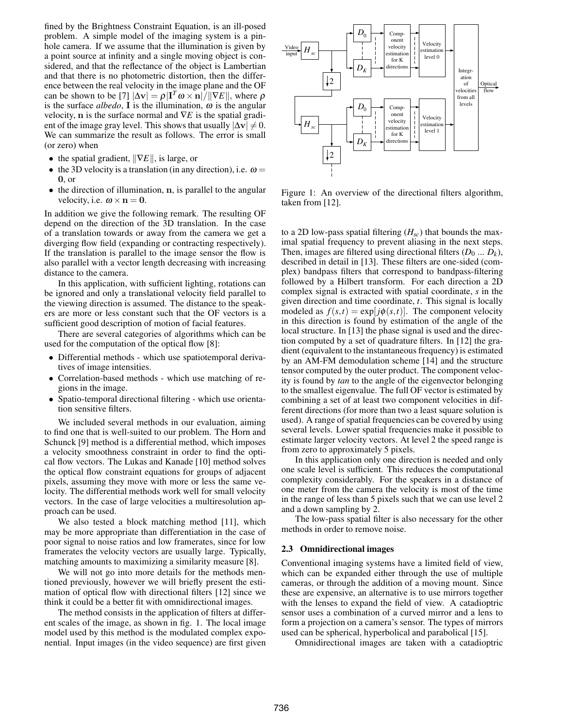fined by the Brightness Constraint Equation, is an ill-posed problem. A simple model of the imaging system is a pinhole camera. If we assume that the illumination is given by a point source at infinity and a single moving object is considered, and that the reflectance of the object is Lambertian and that there is no photometric distortion, then the difference between the real velocity in the image plane and the OF can be shown to be [7]  $|\Delta v| = \rho |I^T \omega \times n| / ||\nabla E||$ , where  $\rho$ is the surface *albedo*, **I** is the illumination,  $\omega$  is the angular velocity, n is the surface normal and ∇*E* is the spatial gradient of the image gray level. This shows that usually  $|\Delta v| \neq 0$ . We can summarize the result as follows. The error is small (or zero) when

- the spatial gradient,  $\|\nabla E\|$ , is large, or
- the 3D velocity is a translation (in any direction), i.e.  $\omega =$ 0, or
- the direction of illumination, n, is parallel to the angular velocity, i.e.  $\omega \times n = 0$ .

In addition we give the following remark. The resulting OF depend on the direction of the 3D translation. In the case of a translation towards or away from the camera we get a diverging flow field (expanding or contracting respectively). If the translation is parallel to the image sensor the flow is also parallel with a vector length decreasing with increasing distance to the camera.

In this application, with sufficient lighting, rotations can be ignored and only a translational velocity field parallel to the viewing direction is assumed. The distance to the speakers are more or less constant such that the OF vectors is a sufficient good description of motion of facial features.

There are several categories of algorithms which can be used for the computation of the optical flow [8]:

- Differential methods which use spatiotemporal derivatives of image intensities.
- Correlation-based methods which use matching of regions in the image.
- Spatio-temporal directional filtering which use orientation sensitive filters.

We included several methods in our evaluation, aiming to find one that is well-suited to our problem. The Horn and Schunck [9] method is a differential method, which imposes a velocity smoothness constraint in order to find the optical flow vectors. The Lukas and Kanade [10] method solves the optical flow constraint equations for groups of adjacent pixels, assuming they move with more or less the same velocity. The differential methods work well for small velocity vectors. In the case of large velocities a multiresolution approach can be used.

We also tested a block matching method [11], which may be more appropriate than differentiation in the case of poor signal to noise ratios and low framerates, since for low framerates the velocity vectors are usually large. Typically, matching amounts to maximizing a similarity measure [8].

We will not go into more details for the methods mentioned previously, however we will briefly present the estimation of optical flow with directional filters [12] since we think it could be a better fit with omnidirectional images.

The method consists in the application of filters at different scales of the image, as shown in fig. 1. The local image model used by this method is the modulated complex exponential. Input images (in the video sequence) are first given



Figure 1: An overview of the directional filters algorithm, taken from [12].

to a 2D low-pass spatial filtering (*Hsc*) that bounds the maximal spatial frequency to prevent aliasing in the next steps. Then, images are filtered using directional filters  $(D_0 ... D_k)$ , described in detail in [13]. These filters are one-sided (complex) bandpass filters that correspond to bandpass-filtering followed by a Hilbert transform. For each direction a 2D complex signal is extracted with spatial coordinate, *s* in the given direction and time coordinate, *t*. This signal is locally modeled as  $f(s,t) = \exp[j\phi(s,t)]$ . The component velocity in this direction is found by estimation of the angle of the local structure. In [13] the phase signal is used and the direction computed by a set of quadrature filters. In [12] the gradient (equivalent to the instantaneous frequency) is estimated by an AM-FM demodulation scheme [14] and the structure tensor computed by the outer product. The component velocity is found by *tan* to the angle of the eigenvector belonging to the smallest eigenvalue. The full OF vector is estimated by combining a set of at least two component velocities in different directions (for more than two a least square solution is used). A range of spatial frequencies can be covered by using several levels. Lower spatial frequencies make it possible to estimate larger velocity vectors. At level 2 the speed range is from zero to approximately 5 pixels.

In this application only one direction is needed and only one scale level is sufficient. This reduces the computational complexity considerably. For the speakers in a distance of one meter from the camera the velocity is most of the time in the range of less than 5 pixels such that we can use level 2 and a down sampling by 2.

The low-pass spatial filter is also necessary for the other methods in order to remove noise.

#### **2.3 Omnidirectional images**

Conventional imaging systems have a limited field of view, which can be expanded either through the use of multiple cameras, or through the addition of a moving mount. Since these are expensive, an alternative is to use mirrors together with the lenses to expand the field of view. A catadioptric sensor uses a combination of a curved mirror and a lens to form a projection on a camera's sensor. The types of mirrors used can be spherical, hyperbolical and parabolical [15].

Omnidirectional images are taken with a catadioptric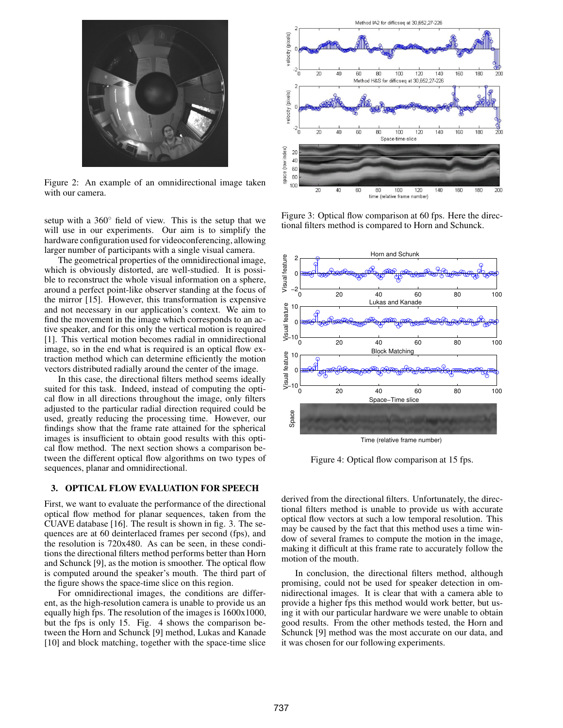

Figure 2: An example of an omnidirectional image taken with our camera.

setup with a 360◦ field of view. This is the setup that we will use in our experiments. Our aim is to simplify the hardware configuration used for videoconferencing, allowing larger number of participants with a single visual camera.

The geometrical properties of the omnidirectional image, which is obviously distorted, are well-studied. It is possible to reconstruct the whole visual information on a sphere, around a perfect point-like observer standing at the focus of the mirror [15]. However, this transformation is expensive and not necessary in our application's context. We aim to find the movement in the image which corresponds to an active speaker, and for this only the vertical motion is required [1]. This vertical motion becomes radial in omnidirectional image, so in the end what is required is an optical flow extraction method which can determine efficiently the motion vectors distributed radially around the center of the image.

In this case, the directional filters method seems ideally suited for this task. Indeed, instead of computing the optical flow in all directions throughout the image, only filters adjusted to the particular radial direction required could be used, greatly reducing the processing time. However, our findings show that the frame rate attained for the spherical images is insufficient to obtain good results with this optical flow method. The next section shows a comparison between the different optical flow algorithms on two types of sequences, planar and omnidirectional.

## **3. OPTICAL FLOW EVALUATION FOR SPEECH**

First, we want to evaluate the performance of the directional optical flow method for planar sequences, taken from the CUAVE database [16]. The result is shown in fig. 3. The sequences are at 60 deinterlaced frames per second (fps), and the resolution is 720x480. As can be seen, in these conditions the directional filters method performs better than Horn and Schunck [9], as the motion is smoother. The optical flow is computed around the speaker's mouth. The third part of the figure shows the space-time slice on this region.

For omnidirectional images, the conditions are different, as the high-resolution camera is unable to provide us an equally high fps. The resolution of the images is 1600x1000, but the fps is only 15. Fig. 4 shows the comparison between the Horn and Schunck [9] method, Lukas and Kanade [10] and block matching, together with the space-time slice



Figure 3: Optical flow comparison at 60 fps. Here the directional filters method is compared to Horn and Schunck.

![](_page_2_Figure_10.jpeg)

Figure 4: Optical flow comparison at 15 fps.

derived from the directional filters. Unfortunately, the directional filters method is unable to provide us with accurate optical flow vectors at such a low temporal resolution. This may be caused by the fact that this method uses a time window of several frames to compute the motion in the image, making it difficult at this frame rate to accurately follow the motion of the mouth.

In conclusion, the directional filters method, although promising, could not be used for speaker detection in omnidirectional images. It is clear that with a camera able to provide a higher fps this method would work better, but using it with our particular hardware we were unable to obtain good results. From the other methods tested, the Horn and Schunck [9] method was the most accurate on our data, and it was chosen for our following experiments.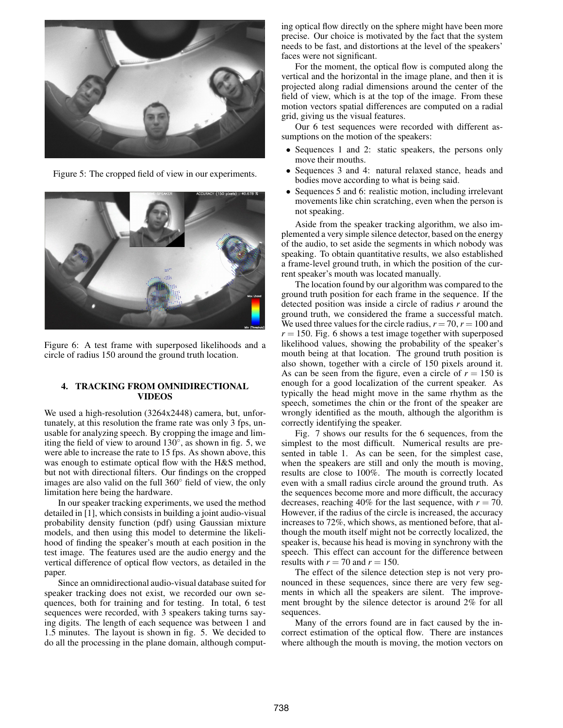![](_page_3_Picture_0.jpeg)

Figure 5: The cropped field of view in our experiments.

![](_page_3_Picture_2.jpeg)

Figure 6: A test frame with superposed likelihoods and a circle of radius 150 around the ground truth location.

# **4. TRACKING FROM OMNIDIRECTIONAL VIDEOS**

We used a high-resolution (3264x2448) camera, but, unfortunately, at this resolution the frame rate was only 3 fps, unusable for analyzing speech. By cropping the image and limiting the field of view to around  $130^\circ$ , as shown in fig. 5, we were able to increase the rate to 15 fps. As shown above, this was enough to estimate optical flow with the H&S method, but not with directional filters. Our findings on the cropped images are also valid on the full 360◦ field of view, the only limitation here being the hardware.

In our speaker tracking experiments, we used the method detailed in [1], which consists in building a joint audio-visual probability density function (pdf) using Gaussian mixture models, and then using this model to determine the likelihood of finding the speaker's mouth at each position in the test image. The features used are the audio energy and the vertical difference of optical flow vectors, as detailed in the paper.

Since an omnidirectional audio-visual database suited for speaker tracking does not exist, we recorded our own sequences, both for training and for testing. In total, 6 test sequences were recorded, with 3 speakers taking turns saying digits. The length of each sequence was between 1 and 1.5 minutes. The layout is shown in fig. 5. We decided to do all the processing in the plane domain, although computing optical flow directly on the sphere might have been more precise. Our choice is motivated by the fact that the system needs to be fast, and distortions at the level of the speakers' faces were not significant.

For the moment, the optical flow is computed along the vertical and the horizontal in the image plane, and then it is projected along radial dimensions around the center of the field of view, which is at the top of the image. From these motion vectors spatial differences are computed on a radial grid, giving us the visual features.

Our 6 test sequences were recorded with different assumptions on the motion of the speakers:

- Sequences 1 and 2: static speakers, the persons only move their mouths.
- Sequences 3 and 4: natural relaxed stance, heads and bodies move according to what is being said.
- Sequences 5 and 6: realistic motion, including irrelevant movements like chin scratching, even when the person is not speaking.

Aside from the speaker tracking algorithm, we also implemented a very simple silence detector, based on the energy of the audio, to set aside the segments in which nobody was speaking. To obtain quantitative results, we also established a frame-level ground truth, in which the position of the current speaker's mouth was located manually.

The location found by our algorithm was compared to the ground truth position for each frame in the sequence. If the detected position was inside a circle of radius *r* around the ground truth, we considered the frame a successful match. We used three values for the circle radius,  $r = 70$ ,  $r = 100$  and  $r = 150$ . Fig. 6 shows a test image together with superposed likelihood values, showing the probability of the speaker's mouth being at that location. The ground truth position is also shown, together with a circle of 150 pixels around it. As can be seen from the figure, even a circle of  $r = 150$  is enough for a good localization of the current speaker. As typically the head might move in the same rhythm as the speech, sometimes the chin or the front of the speaker are wrongly identified as the mouth, although the algorithm is correctly identifying the speaker.

Fig. 7 shows our results for the 6 sequences, from the simplest to the most difficult. Numerical results are presented in table 1. As can be seen, for the simplest case, when the speakers are still and only the mouth is moving, results are close to 100%. The mouth is correctly located even with a small radius circle around the ground truth. As the sequences become more and more difficult, the accuracy decreases, reaching 40% for the last sequence, with  $r = 70$ . However, if the radius of the circle is increased, the accuracy increases to 72%, which shows, as mentioned before, that although the mouth itself might not be correctly localized, the speaker is, because his head is moving in synchrony with the speech. This effect can account for the difference between results with  $r = 70$  and  $r = 150$ .

The effect of the silence detection step is not very pronounced in these sequences, since there are very few segments in which all the speakers are silent. The improvement brought by the silence detector is around 2% for all sequences.

Many of the errors found are in fact caused by the incorrect estimation of the optical flow. There are instances where although the mouth is moving, the motion vectors on